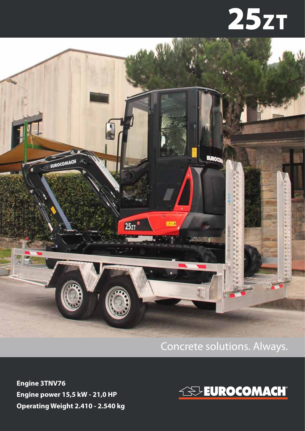## **25zT**



## Concrete solutions. Always.

**Engine 3TNV76 Engine power 15,5 kW - 21,0 HP Operating Weight 2.410 - 2.540 kg**